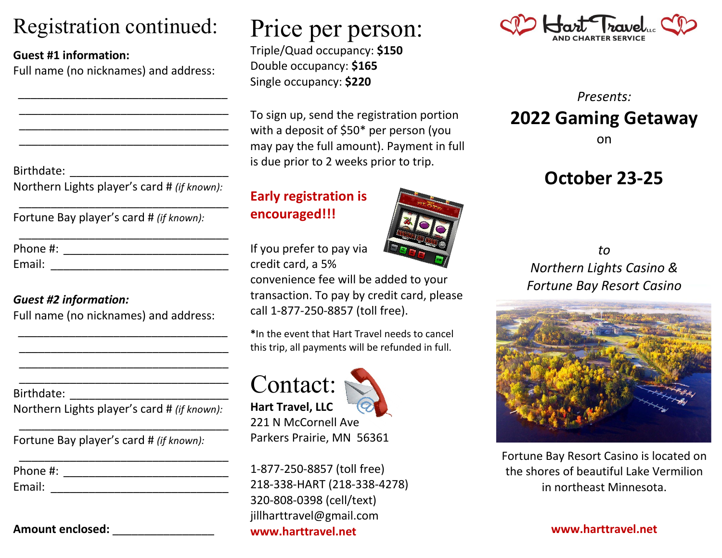### Registration continued:

#### **Guest #1 information:**

Full name (no nicknames) and address:

*\_\_\_\_\_\_\_\_\_\_\_\_\_\_\_\_\_\_\_\_\_\_\_\_\_\_\_\_\_\_\_\_\_* \_\_\_\_\_\_\_\_\_\_\_\_\_\_\_\_\_\_\_\_\_\_\_\_\_\_\_\_\_\_\_\_\_ \_\_\_\_\_\_\_\_\_\_\_\_\_\_\_\_\_\_\_\_\_\_\_\_\_\_\_\_\_\_\_\_\_ \_\_\_\_\_\_\_\_\_\_\_\_\_\_\_\_\_\_\_\_\_\_\_\_\_\_\_\_\_\_\_\_\_

Birthdate:

Northern Lights player's card # *(if known):*

\_\_\_\_\_\_\_\_\_\_\_\_\_\_\_\_\_\_\_\_\_\_\_\_\_\_\_\_\_\_\_\_\_

\_\_\_\_\_\_\_\_\_\_\_\_\_\_\_\_\_\_\_\_\_\_\_\_\_\_\_\_\_\_\_\_\_

Fortune Bay player's card # *(if known):*

| Phone #: |  |  |  |
|----------|--|--|--|
| Email:   |  |  |  |

#### *Guest #2 information:*

Full name (no nicknames) and address:

*\_\_\_\_\_\_\_\_\_\_\_\_\_\_\_\_\_\_\_\_\_\_\_\_\_\_\_\_\_\_\_\_\_* \_\_\_\_\_\_\_\_\_\_\_\_\_\_\_\_\_\_\_\_\_\_\_\_\_\_\_\_\_\_\_\_\_ \_\_\_\_\_\_\_\_\_\_\_\_\_\_\_\_\_\_\_\_\_\_\_\_\_\_\_\_\_\_\_\_\_ \_\_\_\_\_\_\_\_\_\_\_\_\_\_\_\_\_\_\_\_\_\_\_\_\_\_\_\_\_\_\_\_\_

Birthdate:

Northern Lights player's card # *(if known):*

\_\_\_\_\_\_\_\_\_\_\_\_\_\_\_\_\_\_\_\_\_\_\_\_\_\_\_\_\_\_\_\_\_

Fortune Bay player's card # *(if known):*

| Phone #: |  |  |  |
|----------|--|--|--|
| Email:   |  |  |  |

#### **Amount enclosed:** \_\_\_\_\_\_\_\_\_\_\_\_\_\_\_\_

# Price per person:

Triple/Quad occupancy: **\$150** Double occupancy: **\$165** Single occupancy: **\$220**

To sign up, send the registration portion with a deposit of \$50\* per person (you may pay the full amount). Payment in full is due prior to 2 weeks prior to trip.

#### **Early registration is encouraged!!!**

If you prefer to pay via credit card, a 5%

convenience fee will be added to your transaction. To pay by credit card, please call 1-877-250-8857 (toll free).

**\***In the event that Hart Travel needs to cancel this trip, all payments will be refunded in full.





221 N McCornell Ave Parkers Prairie, MN 56361

1-877-250-8857 (toll free) 218-338-HART (218-338-4278) 320-808-0398 (cell/text) jillharttravel@gmail.com **www.harttravel.net**



*Presents:* **2022 Gaming Getaway** on

### **October 23-25**

*to Northern Lights Casino & Fortune Bay Resort Casino*



Fortune Bay Resort Casino is located on the shores of beautiful Lake Vermilion in northeast Minnesota.

**www.harttravel.net**